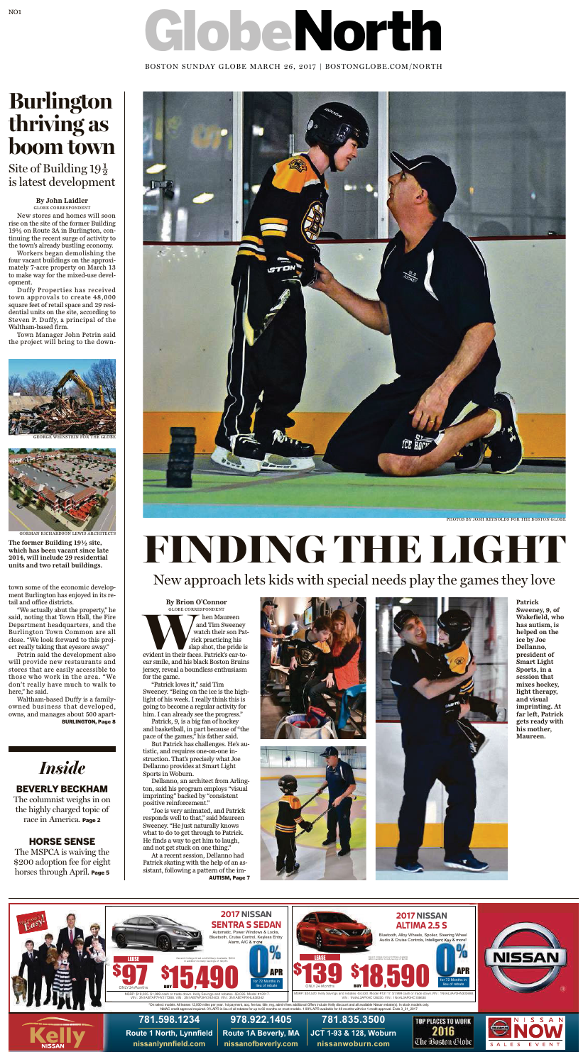# GlobeNorth

BOSTON SUNDAY GLOBE MARCH 26, 2017 | BOSTONGLOBE.COM/NORTH

#### BEVERLY BECKHAM

The columnist weighs in on the highly charged topic of race in America. Page 2

#### HORSE SENSE

The MSPCA is waiving the \$200 adoption fee for eight horses through April. Page 5

### *Inside*

**By John Laidler**

GLOBE CORRESPONDENT New stores and homes will soon rise on the site of the former Building 19½ on Route 3A in Burlington, continuing the recent surge of activity to the town's already bustling economy.

## **Burlington boom** town

Site of Building 19 $\frac{1}{2}$ is latest development

Workers began demolishing the four vacant buildings on the approximately 7-acre property on March 13 to make way for the mixed-use development.

Duffy Properties has received town approvals to create 48,000 square feet of retail space and 29 residential units on the site, according to Steven P. Duffy, a principal of the Waltham-based firm.

Town Manager John Petrin said the project will bring to the down-

> WHEN MARISPONDENT THE MAIL TERM MAIL THE MAIL THE SURVEY WATCH THE SURVEY OF THE SURVEY OF THE SURVEY OF THE SURVEY OF THE SURVEY OF THE SURVEY OF THE SURVEY OF THE SURVEY OF THE SURVEY OF THE SURVEY OF THE SURVEY OF THE S and Tim Sweeney watch their son Patrick practicing his slap shot, the pride is ear smile, and his black Boston Bruins jersey, reveal a boundless enthusiasm for the game.

town some of the economic development Burlington has enjoyed in its retail and office districts.

"We actually abut the property," he said, noting that Town Hall, the Fire Department headquarters, and the Burlington Town Common are all close. "We look forward to this project really taking that eyesore away." Petrin said the development also will provide new restaurants and stores that are easily accessible to those who work in the area. "We don't really have much to walk to here," he said.

Waltham-based Duffy is a familyowned business that developed, owns, and manages about 500 apart-BURLINGTON, Page 8





GORMAN RICHARDSON LEWIS ARCHITECTS

**The former Building 19½ site, which has been vacant since late 2014, will include 29 residential units and two retail buildings.**

> **By Brion O'Connor** GLOBE CORRESPONDENT







"Patrick loves it," said Tim Sweeney. "Being on the ice is the highlight of his week. I really think this is going to become a regular activity for him. I can already see the progress."

Patrick, 9, is a big fan of hockey and basketball, in part because of "the pace of the games," his father said.

But Patrick has challenges. He's autistic, and requires one-on-one instruction. That's precisely what Joe Dellanno provides at Smart Light Sports in Woburn.

Dellanno, an architect from Arlington, said his program employs "visual imprinting" backed by "consistent positive reinforcement."

"Joe is very animated, and Patrick responds well to that," said Maureen Sweeney. "He just naturally knows what to do to get through to Patrick. He finds a way to get him to laugh, and not get stuck on one thing."

At a recent session, Dellanno had Patrick skating with the help of an assistant, following a pattern of the im-

AUTISM, Page 7





**Patrick Sweeney, 9, of**

**Wakefield, who has autism, is helped on the ice by Joe Dellanno, president of Smart Light Sports, in a session that mixes hockey, light therapy, and visual imprinting. At far left, Patrick gets ready with his mother, Maureen.**

# FINDING THE LIGHT

New approach lets kids with special needs play the games they love